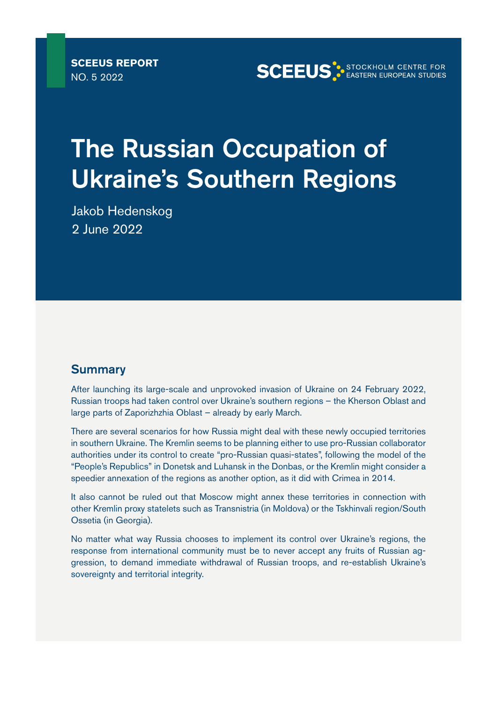**SCEEUS STOCKHOLM CENTRE FOR** 

# The Russian Occupation of Ukraine's Southern Regions

Jakob Hedenskog 2 June 2022

# **Summary**

After launching its large-scale and unprovoked invasion of Ukraine on 24 February 2022, Russian troops had taken control over Ukraine's southern regions – the Kherson Oblast and large parts of Zaporizhzhia Oblast – already by early March.

There are several scenarios for how Russia might deal with these newly occupied territories in southern Ukraine. The Kremlin seems to be planning either to use pro-Russian collaborator authorities under its control to create "pro-Russian quasi-states", following the model of the "People's Republics" in Donetsk and Luhansk in the Donbas, or the Kremlin might consider a speedier annexation of the regions as another option, as it did with Crimea in 2014.

It also cannot be ruled out that Moscow might annex these territories in connection with other Kremlin proxy statelets such as Transnistria (in Moldova) or the Tskhinvali region/South Ossetia (in Georgia).

No matter what way Russia chooses to implement its control over Ukraine's regions, the response from international community must be to never accept any fruits of Russian aggression, to demand immediate withdrawal of Russian troops, and re-establish Ukraine's sovereignty and territorial integrity.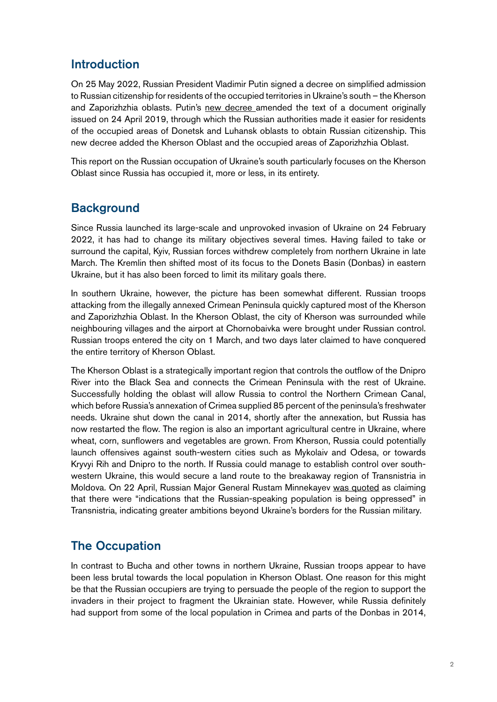## Introduction

On 25 May 2022, Russian President Vladimir Putin signed a decree on simplified admission to Russian citizenship for residents of the occupied territories in Ukraine's south – the Kherson and Zaporizhzhia oblasts. Putin's [new decree a](http://publication.pravo.gov.ru/Document/View/0001202205250004#print)mended the text of a document originally issued on 24 April 2019, through which the Russian authorities made it easier for residents of the occupied areas of Donetsk and Luhansk oblasts to obtain Russian citizenship. This new decree added the Kherson Oblast and the occupied areas of Zaporizhzhia Oblast.

This report on the Russian occupation of Ukraine's south particularly focuses on the Kherson Oblast since Russia has occupied it, more or less, in its entirety.

## **Background**

Since Russia launched its large-scale and unprovoked invasion of Ukraine on 24 February 2022, it has had to change its military objectives several times. Having failed to take or surround the capital, Kyiv, Russian forces withdrew completely from northern Ukraine in late March. The Kremlin then shifted most of its focus to the Donets Basin (Donbas) in eastern Ukraine, but it has also been forced to limit its military goals there.

In southern Ukraine, however, the picture has been somewhat different. Russian troops attacking from the illegally annexed Crimean Peninsula quickly captured most of the Kherson and Zaporizhzhia Oblast. In the Kherson Oblast, the city of Kherson was surrounded while neighbouring villages and the airport at Chornobaivka were brought under Russian control. Russian troops entered the city on 1 March, and two days later claimed to have conquered the entire territory of Kherson Oblast.

The Kherson Oblast is a strategically important region that controls the outflow of the Dnipro River into the Black Sea and connects the Crimean Peninsula with the rest of Ukraine. Successfully holding the oblast will allow Russia to control the Northern Crimean Canal, which before Russia's annexation of Crimea supplied 85 percent of the peninsula's freshwater needs. Ukraine shut down the canal in 2014, shortly after the annexation, but Russia has now restarted the flow. The region is also an important agricultural centre in Ukraine, where wheat, corn, sunflowers and vegetables are grown. From Kherson, Russia could potentially launch offensives against south-western cities such as Mykolaiv and Odesa, or towards Kryvyi Rih and Dnipro to the north. If Russia could manage to establish control over southwestern Ukraine, this would secure a land route to the breakaway region of Transnistria in Moldova. On 22 April, Russian Major General Rustam Minnekayev [was quoted](https://balkaninsight.com/2022/04/22/via-southern-ukraine-russia-eyes-another-route-to-moldovas-transnistria/) as claiming that there were "indications that the Russian-speaking population is being oppressed" in Transnistria, indicating greater ambitions beyond Ukraine's borders for the Russian military.

# The Occupation

In contrast to Bucha and other towns in northern Ukraine, Russian troops appear to have been less brutal towards the local population in Kherson Oblast. One reason for this might be that the Russian occupiers are trying to persuade the people of the region to support the invaders in their project to fragment the Ukrainian state. However, while Russia definitely had support from some of the local population in Crimea and parts of the Donbas in 2014,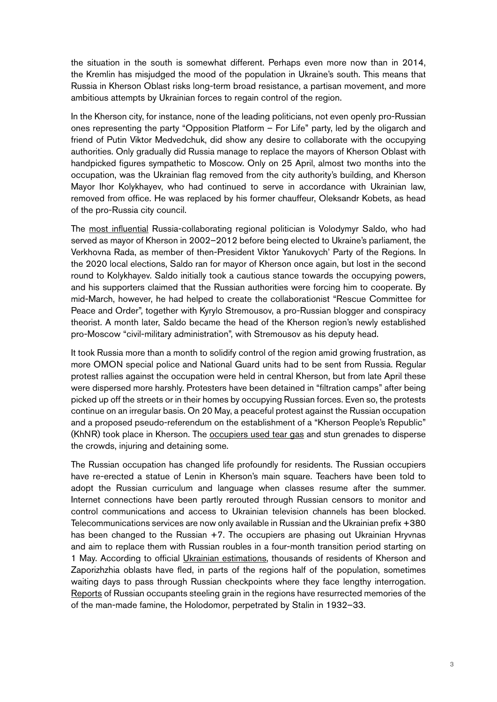the situation in the south is somewhat different. Perhaps even more now than in 2014, the Kremlin has misjudged the mood of the population in Ukraine's south. This means that Russia in Kherson Oblast risks long-term broad resistance, a partisan movement, and more ambitious attempts by Ukrainian forces to regain control of the region.

In the Kherson city, for instance, none of the leading politicians, not even openly pro-Russian ones representing the party "Opposition Platform – For Life" party, led by the oligarch and friend of Putin Viktor Medvedchuk, did show any desire to collaborate with the occupying authorities. Only gradually did Russia manage to replace the mayors of Kherson Oblast with handpicked figures sympathetic to Moscow. Only on 25 April, almost two months into the occupation, was the Ukrainian flag removed from the city authority's building, and Kherson Mayor Ihor Kolykhayev, who had continued to serve in accordance with Ukrainian law, removed from office. He was replaced by his former chauffeur, Oleksandr Kobets, as head of the pro-Russia city council.

The [most influential](https://meduza.io/en/feature/2022/05/16/meet-the-collaborators) Russia-collaborating regional politician is Volodymyr Saldo, who had served as mayor of Kherson in 2002–2012 before being elected to Ukraine's parliament, the Verkhovna Rada, as member of then-President Viktor Yanukovych' Party of the Regions. In the 2020 local elections, Saldo ran for mayor of Kherson once again, but lost in the second round to Kolykhayev. Saldo initially took a cautious stance towards the occupying powers, and his supporters claimed that the Russian authorities were forcing him to cooperate. By mid-March, however, he had helped to create the collaborationist "Rescue Committee for Peace and Order", together with Kyrylo Stremousov, a pro-Russian blogger and conspiracy theorist. A month later, Saldo became the head of the Kherson region's newly established pro-Moscow "civil-military administration", with Stremousov as his deputy head.

It took Russia more than a month to solidify control of the region amid growing frustration, as more OMON special police and National Guard units had to be sent from Russia. Regular protest rallies against the occupation were held in central Kherson, but from late April these were dispersed more harshly. Protesters have been detained in "filtration camps" after being picked up off the streets or in their homes by occupying Russian forces. Even so, the protests continue on an irregular basis. On 20 May, a peaceful protest against the Russian occupation and a proposed pseudo-referendum on the establishment of a "Kherson People's Republic" (KhNR) took place in Kherson. The [occupiers used tear gas](https://www.kyivpost.com/ukraine-politics/russian-atrocities-in-kherson-region-rape-of-children-ukrainian-partisans-resisting.html) and stun grenades to disperse the crowds, injuring and detaining some.

The Russian occupation has changed life profoundly for residents. The Russian occupiers have re-erected a statue of Lenin in Kherson's main square. Teachers have been told to adopt the Russian curriculum and language when classes resume after the summer. Internet connections have been partly rerouted through Russian censors to monitor and control communications and access to Ukrainian television channels has been blocked. Telecommunications services are now only available in Russian and the Ukrainian prefix +380 has been changed to the Russian +7. The occupiers are phasing out Ukrainian Hryvnas and aim to replace them with Russian roubles in a four-month transition period starting on 1 May. According to official [Ukrainian estimations](https://www.ft.com/content/4c58e726-a56d-4c2c-804e-ee82a4785bc3), thousands of residents of Kherson and Zaporizhzhia oblasts have fled, in parts of the regions half of the population, sometimes waiting days to pass through Russian checkpoints where they face lengthy interrogation. [Reports](https://euromaidanpress.com/2022/04/29/threatening-kherson-farmers-russian-troops-steal-grain-from-ukraine/) of Russian occupants steeling grain in the regions have resurrected memories of the of the man-made famine, the Holodomor, perpetrated by Stalin in 1932–33.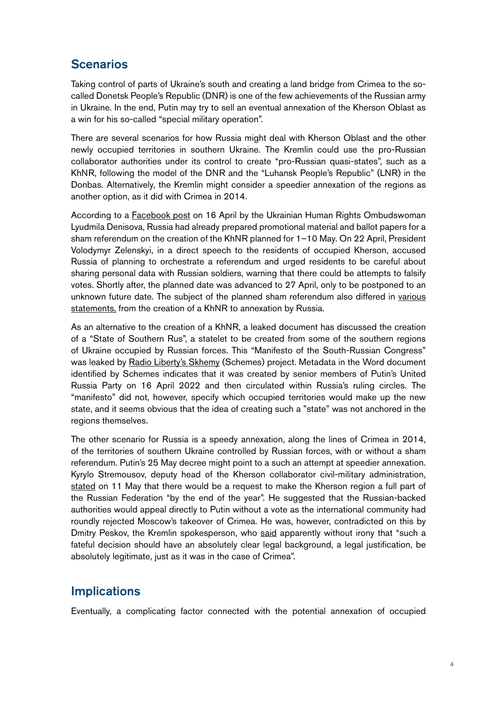# **Scenarios**

Taking control of parts of Ukraine's south and creating a land bridge from Crimea to the socalled Donetsk People's Republic (DNR) is one of the few achievements of the Russian army in Ukraine. In the end, Putin may try to sell an eventual annexation of the Kherson Oblast as a win for his so-called "special military operation".

There are several scenarios for how Russia might deal with Kherson Oblast and the other newly occupied territories in southern Ukraine. The Kremlin could use the pro-Russian collaborator authorities under its control to create "pro-Russian quasi-states", such as a KhNR, following the model of the DNR and the "Luhansk People's Republic" (LNR) in the Donbas. Alternatively, the Kremlin might consider a speedier annexation of the regions as another option, as it did with Crimea in 2014.

According to a [Facebook post](https://www.facebook.com/denisovaombudsman/posts/522572225890721) on 16 April by the Ukrainian Human Rights Ombudswoman Lyudmila Denisova, Russia had already prepared promotional material and ballot papers for a sham referendum on the creation of the KhNR planned for 1–10 May. On 22 April, President Volodymyr Zelenskyi, in a direct speech to the residents of occupied Kherson, accused Russia of planning to orchestrate a referendum and urged residents to be careful about sharing personal data with Russian soldiers, warning that there could be attempts to falsify votes. Shortly after, the planned date was advanced to 27 April, only to be postponed to an unknown future date. The subject of the planned sham referendum also differed in [various](https://euromaidanpress.com/2022/05/08/russian-plans-for-ukraines-south-south-rus-kherson-peoples-republic-annexation/) [statements,](https://euromaidanpress.com/2022/05/08/russian-plans-for-ukraines-south-south-rus-kherson-peoples-republic-annexation/) from the creation of a KhNR to annexation by Russia.

As an alternative to the creation of a KhNR, a leaked document has discussed the creation of a "State of Southern Rus", a statelet to be created from some of the southern regions of Ukraine occupied by Russian forces. This "Manifesto of the South-Russian Congress" was leaked by [Radio Liberty's Skhemy](https://www.radiosvoboda.org/a/skhemy-perekhoplennya-yuzhnaya-rus/31825516.html) (Schemes) project. Metadata in the Word document identified by Schemes indicates that it was created by senior members of Putin's United Russia Party on 16 April 2022 and then circulated within Russia's ruling circles. The "manifesto" did not, however, specify which occupied territories would make up the new state, and it seems obvious that the idea of creating such a "state" was not anchored in the regions themselves.

The other scenario for Russia is a speedy annexation, along the lines of Crimea in 2014, of the territories of southern Ukraine controlled by Russian forces, with or without a sham referendum. Putin's 25 May decree might point to a such an attempt at speedier annexation. Kyrylo Stremousov, deputy head of the Kherson collaborator civil-military administration, [stated](https://www.news18.com/news/world/pro-russia-authorities-in-ukraines-kherson-say-will-seek-annexation-5154967.html) on 11 May that there would be a request to make the Kherson region a full part of the Russian Federation "by the end of the year". He suggested that the Russian-backed authorities would appeal directly to Putin without a vote as the international community had roundly rejected Moscow's takeover of Crimea. He was, however, contradicted on this by Dmitry Peskov, the Kremlin spokesperson, who [said](https://tass.com/politics/1449323?utm_source=google.com&utm_medium=organic&utm_campaign=google.com&utm_referrer=google.com) apparently without irony that "such a fateful decision should have an absolutely clear legal background, a legal justification, be absolutely legitimate, just as it was in the case of Crimea".

# **Implications**

Eventually, a complicating factor connected with the potential annexation of occupied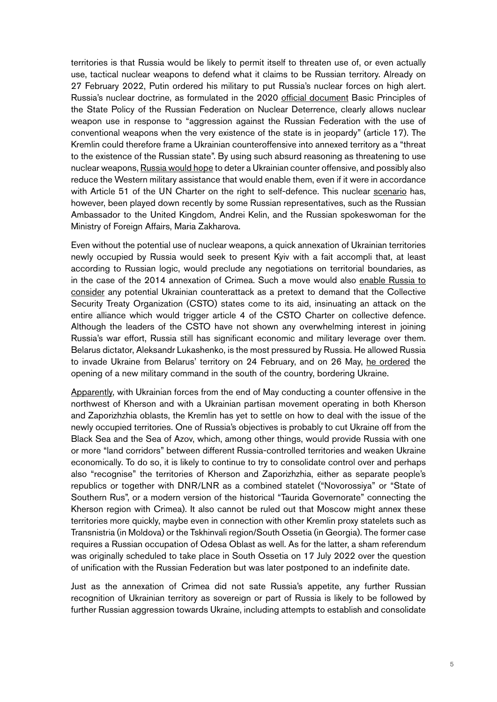territories is that Russia would be likely to permit itself to threaten use of, or even actually use, tactical nuclear weapons to defend what it claims to be Russian territory. Already on 27 February 2022, Putin ordered his military to put Russia's nuclear forces on high alert. Russia's nuclear doctrine, as formulated in the 2020 [official document](http://kremlin.ru/acts/bank/45562) Basic Principles of the State Policy of the Russian Federation on Nuclear Deterrence, clearly allows nuclear weapon use in response to "aggression against the Russian Federation with the use of conventional weapons when the very existence of the state is in jeopardy" (article 17). The Kremlin could therefore frame a Ukrainian counteroffensive into annexed territory as a "threat to the existence of the Russian state". By using such absurd reasoning as threatening to use nuclear weapons, [Russia would hope](https://www.understandingwar.org/backgrounder/russian-annexation-occupied-ukraine-putin%E2%80%99s-unacceptable-%E2%80%9C-ramp%E2%80%9D) to deter a Ukrainian counter offensive, and possibly also reduce the Western military assistance that would enable them, even if it were in accordance with Article 51 of the UN Charter on the right to self-defence. This nuclear [scenario](https://www.bbc.com/news/world-europe-61618902) has, however, been played down recently by some Russian representatives, such as the Russian Ambassador to the United Kingdom, Andrei Kelin, and the Russian spokeswoman for the Ministry of Foreign Affairs, Maria Zakharova.

Even without the potential use of nuclear weapons, a quick annexation of Ukrainian territories newly occupied by Russia would seek to present Kyiv with a fait accompli that, at least according to Russian logic, would preclude any negotiations on territorial boundaries, as in the case of the 2014 annexation of Crimea. Such a move would also [enable Russia to](https://asiatimes.com/2022/03/what-would-a-csto-intervention-in-ukraine-look-like/) [consider](https://asiatimes.com/2022/03/what-would-a-csto-intervention-in-ukraine-look-like/) any potential Ukrainian counterattack as a pretext to demand that the Collective Security Treaty Organization (CSTO) states come to its aid, insinuating an attack on the entire alliance which would trigger article 4 of the CSTO Charter on collective defence. Although the leaders of the CSTO have not shown any overwhelming interest in joining Russia's war effort, Russia still has significant economic and military leverage over them. Belarus dictator, Aleksandr Lukashenko, is the most pressured by Russia. He allowed Russia to invade Ukraine from Belarus' territory on 24 February, and on 26 May, [he ordered](https://www.reuters.com/world/europe/lukashenko-orders-new-military-command-south-belarus-bordering-ukraine-2022-05-26/) the opening of a new military command in the south of the country, bordering Ukraine.

[Apparently,](https://www.ukrinform.net/rubric-ato/3496188-ukraines-counteroffensive-in-countrys-south-sows-panic-among-russian-forces-command.html) with Ukrainian forces from the end of May conducting a counter offensive in the northwest of Kherson and with a Ukrainian partisan movement operating in both Kherson and Zaporizhzhia oblasts, the Kremlin has yet to settle on how to deal with the issue of the newly occupied territories. One of Russia's objectives is probably to cut Ukraine off from the Black Sea and the Sea of Azov, which, among other things, would provide Russia with one or more "land corridors" between different Russia-controlled territories and weaken Ukraine economically. To do so, it is likely to continue to try to consolidate control over and perhaps also "recognise" the territories of Kherson and Zaporizhzhia, either as separate people's republics or together with DNR/LNR as a combined statelet ("Novorossiya" or "State of Southern Rus", or a modern version of the historical "Taurida Governorate" connecting the Kherson region with Crimea). It also cannot be ruled out that Moscow might annex these territories more quickly, maybe even in connection with other Kremlin proxy statelets such as Transnistria (in Moldova) or the Tskhinvali region/South Ossetia (in Georgia). The former case requires a Russian occupation of Odesa Oblast as well. As for the latter, a sham referendum was originally scheduled to take place in South Ossetia on 17 July 2022 over the question of unification with the Russian Federation but was later postponed to an indefinite date.

Just as the annexation of Crimea did not sate Russia's appetite, any further Russian recognition of Ukrainian territory as sovereign or part of Russia is likely to be followed by further Russian aggression towards Ukraine, including attempts to establish and consolidate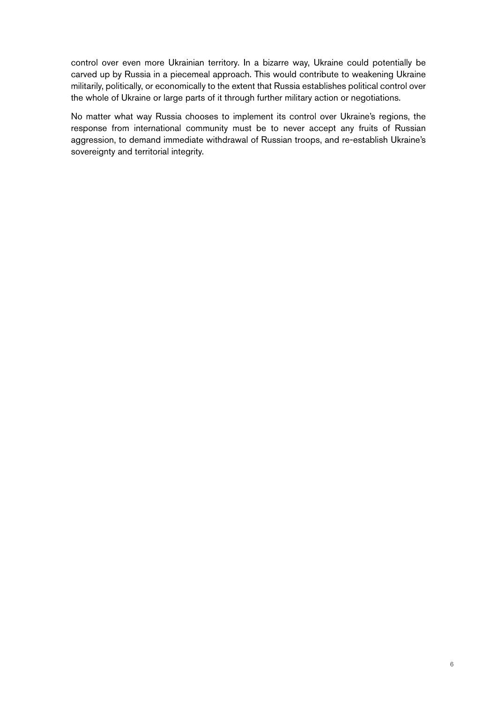control over even more Ukrainian territory. In a bizarre way, Ukraine could potentially be carved up by Russia in a piecemeal approach. This would contribute to weakening Ukraine militarily, politically, or economically to the extent that Russia establishes political control over the whole of Ukraine or large parts of it through further military action or negotiations.

No matter what way Russia chooses to implement its control over Ukraine's regions, the response from international community must be to never accept any fruits of Russian aggression, to demand immediate withdrawal of Russian troops, and re-establish Ukraine's sovereignty and territorial integrity.